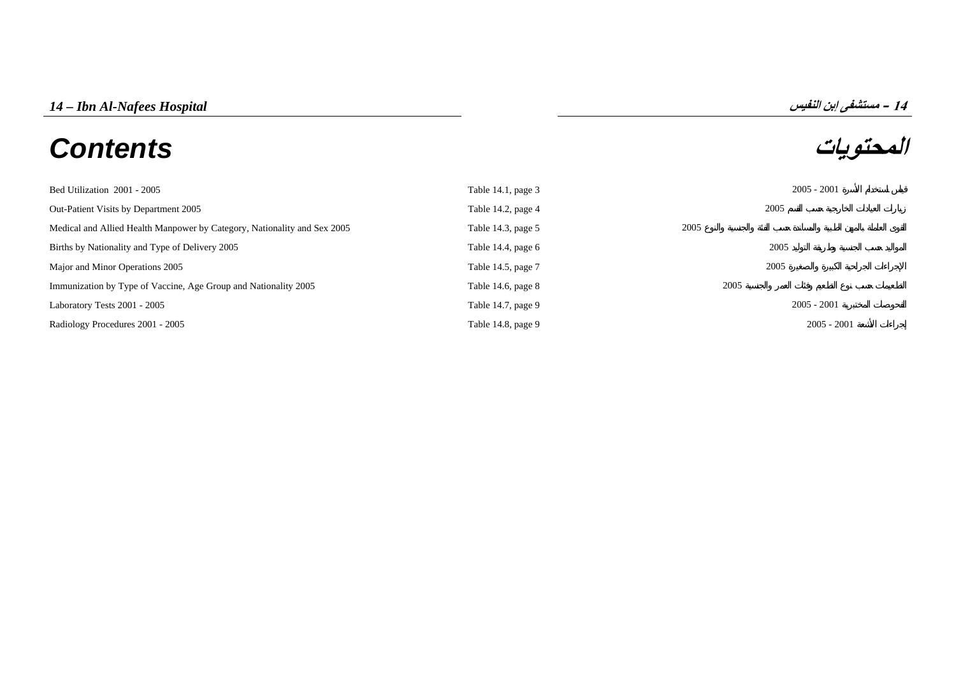# **المحتويات** *Contents*



| Bed Utilization 2001 - 2005                                              | Table $14.1$ , page $3$ |      | $2005 - 2001$ |
|--------------------------------------------------------------------------|-------------------------|------|---------------|
| Out-Patient Visits by Department 2005                                    | Table 14.2, page 4      | 2005 |               |
| Medical and Allied Health Manpower by Category, Nationality and Sex 2005 | Table 14.3, page 5      | 2005 |               |
| Births by Nationality and Type of Delivery 2005                          | Table 14.4, page $6$    | 2005 |               |
| Major and Minor Operations 2005                                          | Table 14.5, page 7      | 2005 |               |
| Immunization by Type of Vaccine, Age Group and Nationality 2005          | Table 14.6, page $8$    | 2005 |               |
| Laboratory Tests 2001 - 2005                                             | Table 14.7, page 9      |      | $2005 - 2001$ |
| Radiology Procedures 2001 - 2005                                         | Table 14.8, page 9      |      | $2005 - 2001$ |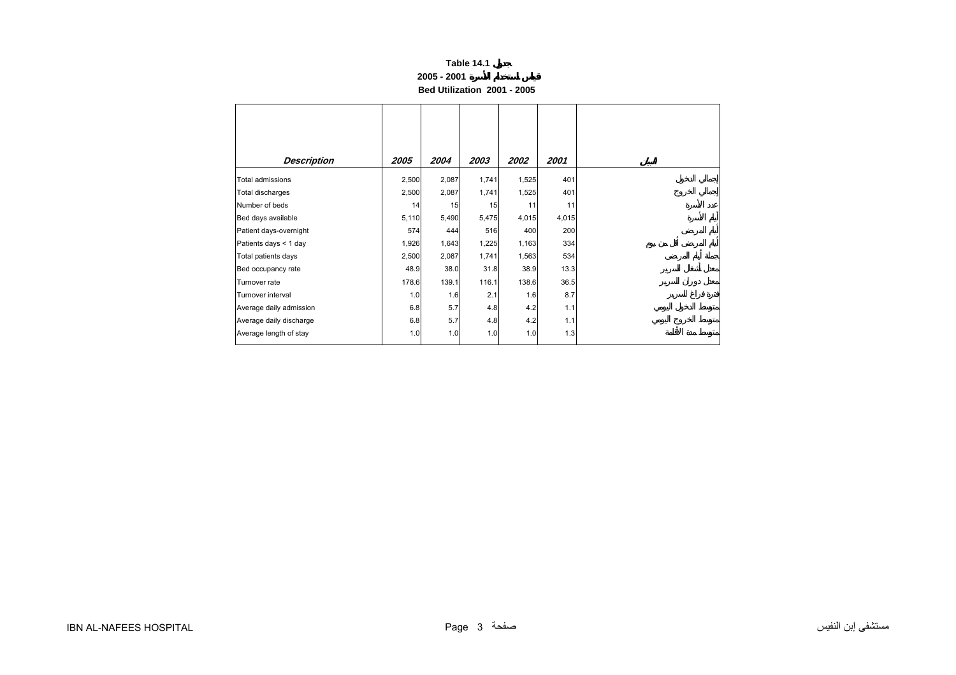## **2005 - 2001**

**Bed Utilization 2001 - 2005** 

<span id="page-1-0"></span>

| <b>Description</b>      | 2005  | 2004  | 2003  | 2002  | 2001  |
|-------------------------|-------|-------|-------|-------|-------|
| Total admissions        | 2,500 | 2,087 | 1,741 | 1,525 | 401   |
| Total discharges        | 2,500 | 2,087 | 1,741 | 1,525 | 401   |
| Number of beds          | 14    | 15    | 15    | 11    | 11    |
| Bed days available      | 5,110 | 5,490 | 5,475 | 4,015 | 4,015 |
| Patient days-overnight  | 574   | 444   | 516   | 400   | 200   |
| Patients days < 1 day   | 1,926 | 1,643 | 1,225 | 1,163 | 334   |
| Total patients days     | 2,500 | 2,087 | 1,741 | 1,563 | 534   |
| Bed occupancy rate      | 48.9  | 38.0  | 31.8  | 38.9  | 13.3  |
| Turnover rate           | 178.6 | 139.1 | 116.1 | 138.6 | 36.5  |
| Turnover interval       | 1.0   | 1.6   | 2.1   | 1.6   | 8.7   |
| Average daily admission | 6.8   | 5.7   | 4.8   | 4.2   | 1.1   |
| Average daily discharge | 6.8   | 5.7   | 4.8   | 4.2   | 1.1   |
| Average length of stay  | 1.0   | 1.0   | 1.0   | 1.0   | 1.3   |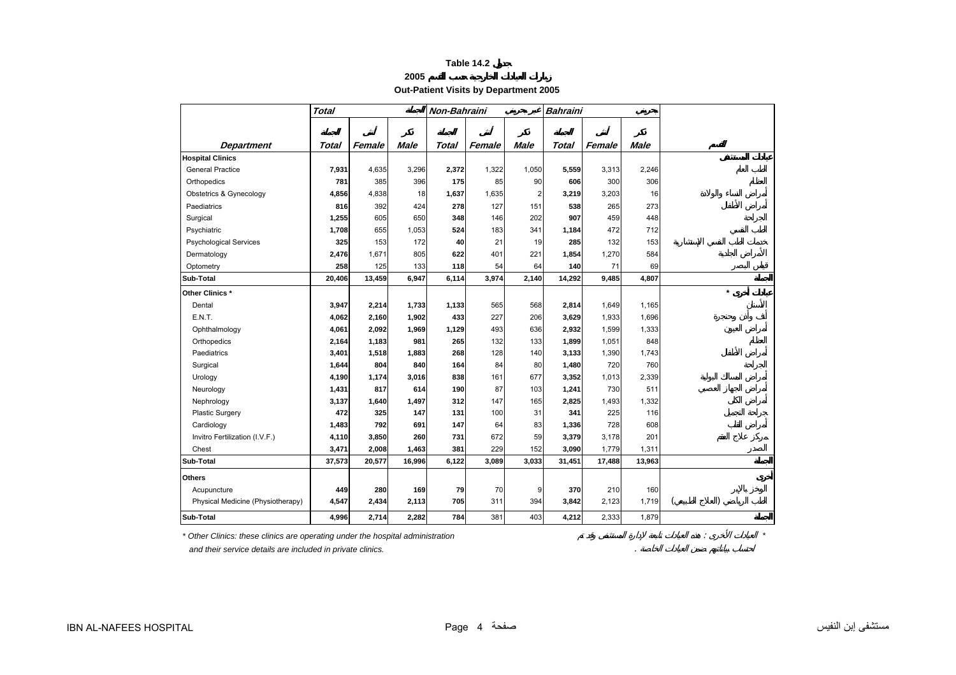## **2005**

**Out-Patient Visits by Department 2005** 

<span id="page-2-0"></span>

|                                   | <b>Total</b> |        |             | Non-Bahraini |        |                         | <b>Bahraini</b> |        |             |  |         |  |
|-----------------------------------|--------------|--------|-------------|--------------|--------|-------------------------|-----------------|--------|-------------|--|---------|--|
|                                   |              |        |             |              |        |                         |                 |        |             |  |         |  |
|                                   |              |        |             |              |        |                         |                 |        |             |  |         |  |
| <b>Department</b>                 | Total        | Female | <b>Male</b> | <b>Total</b> | Female | <b>Male</b>             | <b>Total</b>    | Female | <b>Male</b> |  |         |  |
| <b>Hospital Clinics</b>           |              |        |             |              |        |                         |                 |        |             |  |         |  |
| <b>General Practice</b>           | 7,931        | 4,635  | 3,296       | 2,372        | 1,322  | 1,050                   | 5,559           | 3,313  | 2,246       |  |         |  |
| Orthopedics                       | 781          | 385    | 396         | 175          | 85     | 90                      | 606             | 300    | 306         |  |         |  |
| Obstetrics & Gynecology           | 4,856        | 4,838  | 18          | 1,637        | 1,635  | $\overline{\mathbf{c}}$ | 3,219           | 3,203  | 16          |  |         |  |
| Paediatrics                       | 816          | 392    | 424         | 278          | 127    | 151                     | 538             | 265    | 273         |  |         |  |
| Surgical                          | 1,255        | 605    | 650         | 348          | 146    | 202                     | 907             | 459    | 448         |  |         |  |
| Psychiatric                       | 1,708        | 655    | 1,053       | 524          | 183    | 341                     | 1,184           | 472    | 712         |  |         |  |
| <b>Psychological Services</b>     | 325          | 153    | 172         | 40           | 21     | 19                      | 285             | 132    | 153         |  |         |  |
| Dermatology                       | 2,476        | 1,671  | 805         | 622          | 401    | 221                     | 1,854           | 1,270  | 584         |  |         |  |
| Optometry                         | 258          | 125    | 133         | 118          | 54     | 64                      | 140             | 71     | 69          |  |         |  |
| Sub-Total                         | 20,406       | 13,459 | 6,947       | 6,114        | 3,974  | 2,140                   | 14,292          | 9,485  | 4,807       |  |         |  |
| Other Clinics *                   |              |        |             |              |        |                         |                 |        |             |  | $\star$ |  |
| Dental                            | 3,947        | 2,214  | 1,733       | 1,133        | 565    | 568                     | 2,814           | 1,649  | 1,165       |  |         |  |
| E.N.T.                            | 4,062        | 2,160  | 1,902       | 433          | 227    | 206                     | 3,629           | 1,933  | 1,696       |  |         |  |
| Ophthalmology                     | 4,061        | 2,092  | 1,969       | 1,129        | 493    | 636                     | 2,932           | 1,599  | 1,333       |  |         |  |
| Orthopedics                       | 2,164        | 1,183  | 981         | 265          | 132    | 133                     | 1,899           | 1,051  | 848         |  |         |  |
| Paediatrics                       | 3,401        | 1,518  | 1,883       | 268          | 128    | 140                     | 3,133           | 1,390  | 1,743       |  |         |  |
| Surgical                          | 1,644        | 804    | 840         | 164          | 84     | 80                      | 1,480           | 720    | 760         |  |         |  |
| Urology                           | 4,190        | 1,174  | 3,016       | 838          | 161    | 677                     | 3,352           | 1,013  | 2,339       |  |         |  |
| Neurology                         | 1,431        | 817    | 614         | 190          | 87     | 103                     | 1,241           | 730    | 511         |  |         |  |
| Nephrology                        | 3,137        | 1,640  | 1,497       | 312          | 147    | 165                     | 2,825           | 1,493  | 1,332       |  |         |  |
| Plastic Surgery                   | 472          | 325    | 147         | 131          | 100    | 31                      | 341             | 225    | 116         |  |         |  |
| Cardiology                        | 1,483        | 792    | 691         | 147          | 64     | 83                      | 1,336           | 728    | 608         |  |         |  |
| Invitro Fertilization (I.V.F.)    | 4,110        | 3,850  | 260         | 731          | 672    | 59                      | 3,379           | 3,178  | 201         |  |         |  |
| Chest                             | 3,471        | 2,008  | 1,463       | 381          | 229    | 152                     | 3,090           | 1,779  | 1,311       |  |         |  |
| Sub-Total                         | 37,573       | 20,577 | 16,996      | 6,122        | 3,089  | 3,033                   | 31,451          | 17,488 | 13,963      |  |         |  |
| <b>Others</b>                     |              |        |             |              |        |                         |                 |        |             |  |         |  |
| Acupuncture                       | 449          | 280    | 169         | 79           | 70     | 9                       | 370             | 210    | 160         |  |         |  |
| Physical Medicine (Physiotherapy) | 4,547        | 2,434  | 2,113       | 705          | 311    | 394                     | 3,842           | 2,123  | 1,719       |  |         |  |
| Sub-Total                         | 4,996        | 2,714  | 2,282       | 784          | 381    | 403                     | 4,212           | 2,333  | 1,879       |  |         |  |
|                                   |              |        |             |              |        |                         |                 |        |             |  |         |  |

 *and their service details are included in private clinics.* .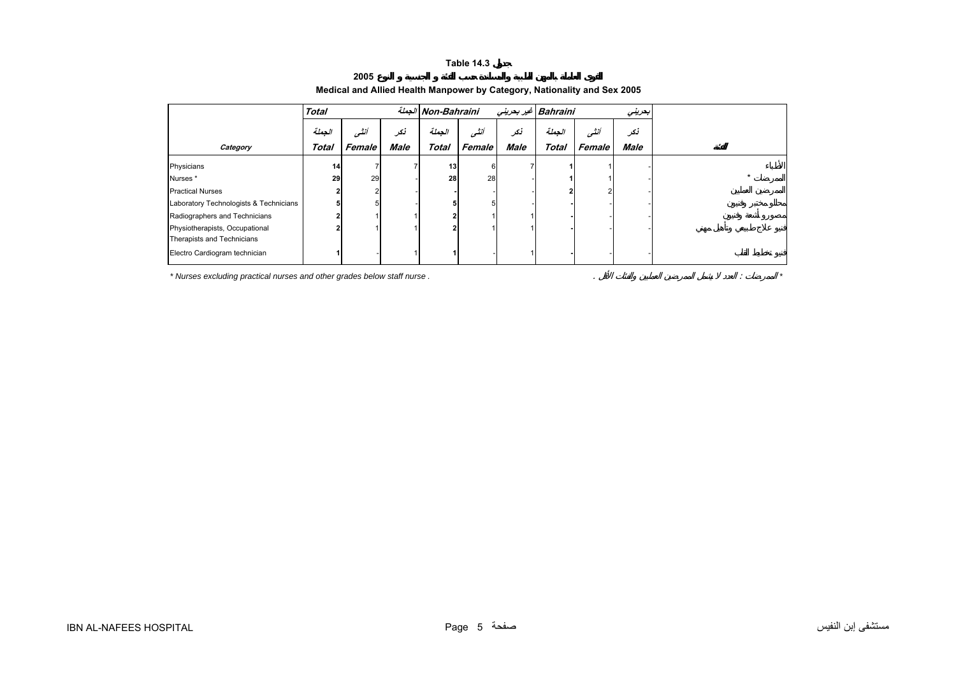<span id="page-3-0"></span>

|                                        | <b>Total</b>    |        |             | الجملة Non-Bahraini |        |             | Bahraini غير بحريني |        | بعرينى      |
|----------------------------------------|-----------------|--------|-------------|---------------------|--------|-------------|---------------------|--------|-------------|
|                                        | الجملة          | أنثسى  | نكر         | الجملة              | أننسى  | نكر         | الجملة              | أنشى   | نكر         |
| Category                               | Total           | Female | <b>Male</b> | <b>Total</b>        | Female | <b>Male</b> | <b>Total</b>        | Female | <b>Male</b> |
| Physicians                             | 14 <sub>1</sub> |        |             | 13                  | 6      |             |                     |        |             |
| Nurses*                                | 29              | 29     |             | 28                  | 28     |             |                     |        |             |
| <b>Practical Nurses</b>                |                 | 2      |             |                     |        |             |                     |        |             |
| Laboratory Technologists & Technicians |                 |        |             |                     |        |             |                     |        |             |
| Radiographers and Technicians          |                 |        |             |                     |        |             |                     |        |             |
| Physiotherapists, Occupational         |                 |        |             |                     |        |             |                     |        |             |
| Therapists and Technicians             |                 |        |             |                     |        |             |                     |        |             |
| Electro Cardiogram technician          |                 |        |             |                     |        |             |                     |        |             |

## **Medical and Allied Health Manpower by Category, Nationality and Sex 2005**

*\* Nurses excluding practical nurses and other grades below staff nurse .* . : *\**

**2005**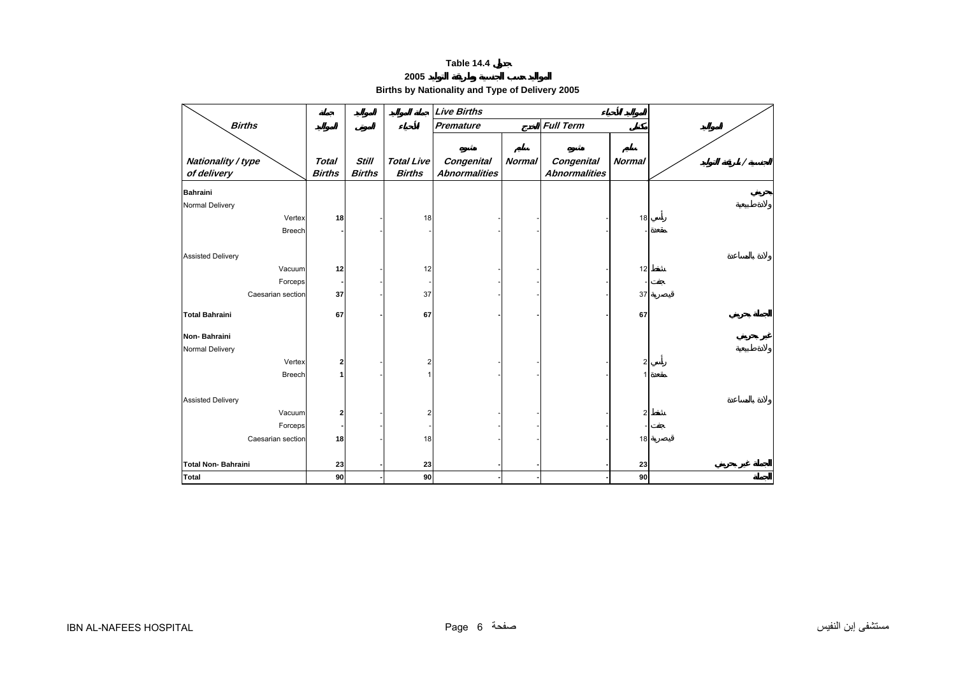# **2005Births by Nationality and Type of Delivery 2005**

<span id="page-4-0"></span>

|                              |                         |               |                   | <b>Live Births</b>   |               |                      |                |  |
|------------------------------|-------------------------|---------------|-------------------|----------------------|---------------|----------------------|----------------|--|
| <b>Births</b>                |                         |               |                   | <b>Premature</b>     |               | <b>Full Term</b>     |                |  |
|                              |                         |               |                   |                      |               |                      |                |  |
| Nationality / type           | <b>Total</b>            | <b>Still</b>  | <b>Total Live</b> | <b>Congenital</b>    | <b>Normal</b> | Congenital           | <b>Normal</b>  |  |
| of delivery                  | <b>Births</b>           | <b>Births</b> | <b>Births</b>     | <b>Abnormalities</b> |               | <b>Abnormalities</b> |                |  |
| <b>Bahraini</b>              |                         |               |                   |                      |               |                      |                |  |
| Normal Delivery              |                         |               |                   |                      |               |                      |                |  |
| Vertex                       | 18                      |               | 18                |                      |               |                      | 18             |  |
| Breech                       |                         |               |                   |                      |               |                      |                |  |
|                              |                         |               |                   |                      |               |                      |                |  |
| <b>Assisted Delivery</b>     |                         |               |                   |                      |               |                      |                |  |
| Vacuum                       | 12                      |               | 12                |                      |               |                      | 12             |  |
| Forceps<br>Caesarian section | 37                      |               | 37                |                      |               |                      | 37             |  |
|                              |                         |               |                   |                      |               |                      |                |  |
| <b>Total Bahraini</b>        | 67                      |               | 67                |                      |               |                      | 67             |  |
| Non-Bahraini                 |                         |               |                   |                      |               |                      |                |  |
| Normal Delivery              |                         |               |                   |                      |               |                      |                |  |
| Vertex                       | $\overline{\mathbf{2}}$ |               | 2                 |                      |               |                      | $\overline{2}$ |  |
| <b>Breech</b>                | 1                       |               |                   |                      |               |                      |                |  |
|                              |                         |               |                   |                      |               |                      |                |  |
| <b>Assisted Delivery</b>     |                         |               |                   |                      |               |                      |                |  |
| Vacuum                       | $\overline{\mathbf{2}}$ |               | 2                 |                      |               |                      | 2              |  |
| Forceps<br>Caesarian section | 18                      |               | 18                |                      |               |                      |                |  |
|                              |                         |               |                   |                      |               |                      | 18             |  |
| <b>Total Non-Bahraini</b>    | 23                      |               | 23                |                      |               |                      | 23             |  |
| <b>Total</b>                 | 90                      |               | 90                |                      |               |                      | 90             |  |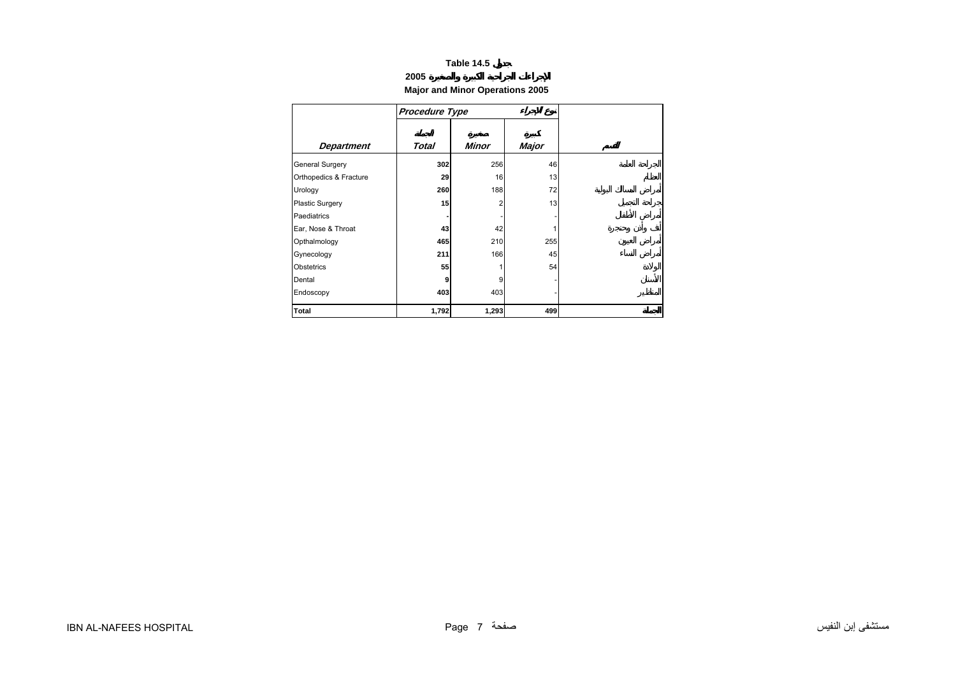# **2005**

<span id="page-5-0"></span>

|                        | <b>Procedure Type</b> |       |       |
|------------------------|-----------------------|-------|-------|
| <b>Department</b>      | Total                 | Minor | Major |
| General Surgery        | 302                   | 256   | 46    |
| Orthopedics & Fracture | 29                    | 16    | 13    |
| Urology                | 260                   | 188   | 72    |
| <b>Plastic Surgery</b> | 15                    | 2     | 13    |
| Paediatrics            |                       |       |       |
| Ear, Nose & Throat     | 43                    | 42    |       |
| Opthalmology           | 465                   | 210   | 255   |
| Gynecology             | 211                   | 166   | 45    |
| Obstetrics             | 55                    |       | 54    |
| Dental                 | 9                     | 9     |       |
| Endoscopy              | 403                   | 403   |       |
| <b>Total</b>           | 1,792                 | 1,293 | 499   |

## **Major and Minor Operations 2005**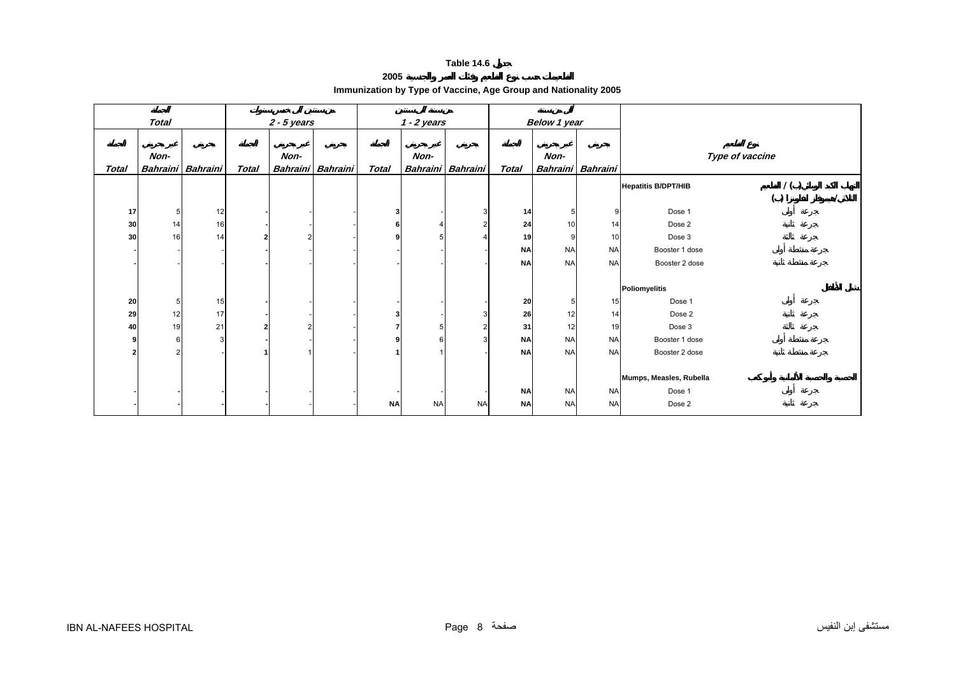**2005**

| zuuj                                                            |  |
|-----------------------------------------------------------------|--|
| Immunization by Type of Vaccine, Age Group and Nationality 2005 |  |

<span id="page-6-0"></span>

|              | <b>Total</b>   |                   |              | $2 - 5$ years |                   |           | $1 - 2$ years |                   |              | Below 1 year      |           |                            |                 |  |
|--------------|----------------|-------------------|--------------|---------------|-------------------|-----------|---------------|-------------------|--------------|-------------------|-----------|----------------------------|-----------------|--|
|              |                |                   |              |               |                   |           |               |                   |              |                   |           |                            |                 |  |
|              | Non-           |                   |              | Non-          |                   |           | Non-          |                   |              | Non-              |           |                            | Type of vaccine |  |
| <b>Total</b> |                | Bahraini Bahraini | <b>Total</b> |               | Bahraini Bahraini | Total     |               | Bahraini Bahraini | <b>Total</b> | Bahraini Bahraini |           |                            |                 |  |
|              |                |                   |              |               |                   |           |               |                   |              |                   |           | <b>Hepatitis B/DPT/HIB</b> | 1()             |  |
|              |                |                   |              |               |                   |           |               |                   |              |                   |           |                            | ( )             |  |
| 17           | 5 <sub>l</sub> | 12                |              |               |                   |           |               |                   | 14           | 5                 | 9         | Dose 1                     |                 |  |
| 30           | 14             | 16                |              |               |                   |           |               |                   | 24           | 10                | 14        | Dose 2                     |                 |  |
| 30           | 16             | 14                |              | 2             |                   |           |               |                   | 19           | 9                 | 10        | Dose 3                     |                 |  |
|              |                |                   |              |               |                   |           |               |                   | <b>NA</b>    | <b>NA</b>         | <b>NA</b> | Booster 1 dose             |                 |  |
|              |                |                   |              |               |                   |           |               |                   | <b>NA</b>    | <b>NA</b>         | <b>NA</b> | Booster 2 dose             |                 |  |
|              |                |                   |              |               |                   |           |               |                   |              |                   |           |                            |                 |  |
|              |                |                   |              |               |                   |           |               |                   |              |                   |           | <b>Poliomyelitis</b>       |                 |  |
| 20           | 5              | 15                |              |               |                   |           |               |                   | 20           | 5                 | 15        | Dose 1                     |                 |  |
| 29           | 12             | 17                |              |               |                   |           |               |                   | 26           | 12                | 14        | Dose 2                     |                 |  |
| 40           | 19             | 21                |              | 2             |                   |           |               |                   | 31           | 12                | 19        | Dose 3                     |                 |  |
| 9            | 6              | 3                 |              |               |                   |           |               |                   | <b>NA</b>    | <b>NA</b>         | <b>NA</b> | Booster 1 dose             |                 |  |
| 2            |                |                   |              |               |                   |           |               |                   | <b>NA</b>    | <b>NA</b>         | <b>NA</b> | Booster 2 dose             |                 |  |
|              |                |                   |              |               |                   |           |               |                   |              |                   |           |                            |                 |  |
|              |                |                   |              |               |                   |           |               |                   |              |                   |           | Mumps, Measles, Rubella    |                 |  |
|              |                |                   |              |               |                   |           |               |                   | <b>NA</b>    | <b>NA</b>         | <b>NA</b> | Dose 1                     |                 |  |
|              |                |                   |              |               |                   | <b>NA</b> | <b>NA</b>     | <b>NA</b>         | <b>NA</b>    | <b>NA</b>         | <b>NA</b> | Dose 2                     |                 |  |